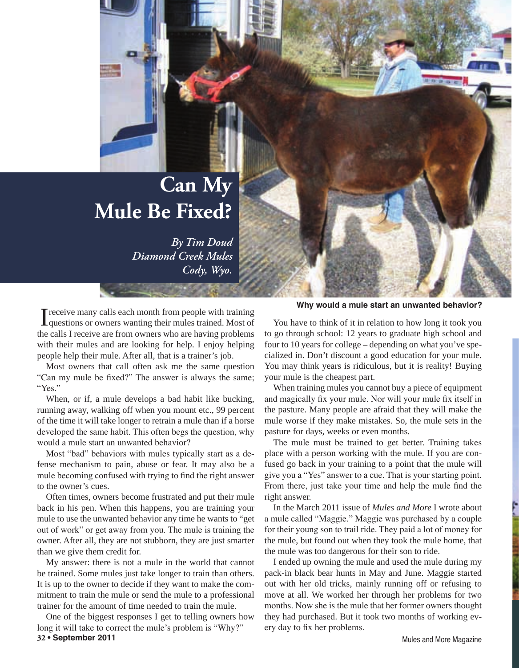## **Can My Mule Be Fixed?**

*By Tim Doud Diamond Creek Mules Cody, Wyo.*

I receive many calls each month from people with training<br>questions or owners wanting their mules trained. Most of<br>the calls I receive are from owners who are beging problems. the calls I receive are from owners who are having problems with their mules and are looking for help. I enjoy helping people help their mule. After all, that is a trainer's job.

Most owners that call often ask me the same question "Can my mule be fixed?" The answer is always the same; "Yes."

When, or if, a mule develops a bad habit like bucking, running away, walking off when you mount etc., 99 percent of the time it will take longer to retrain a mule than if a horse developed the same habit. This often begs the question, why would a mule start an unwanted behavior?

Most "bad" behaviors with mules typically start as a defense mechanism to pain, abuse or fear. It may also be a mule becoming confused with trying to find the right answer to the owner's cues.

Often times, owners become frustrated and put their mule back in his pen. When this happens, you are training your mule to use the unwanted behavior any time he wants to "get out of work" or get away from you. The mule is training the owner. After all, they are not stubborn, they are just smarter than we give them credit for.

My answer: there is not a mule in the world that cannot be trained. Some mules just take longer to train than others. It is up to the owner to decide if they want to make the commitment to train the mule or send the mule to a professional trainer for the amount of time needed to train the mule.

**32 • September 2011** Mules and More Magazine One of the biggest responses I get to telling owners how long it will take to correct the mule's problem is "Why?"

**Why would a mule start an unwanted behavior?**

You have to think of it in relation to how long it took you to go through school: 12 years to graduate high school and four to 10 years for college – depending on what you've specialized in. Don't discount a good education for your mule. You may think years is ridiculous, but it is reality! Buying your mule is the cheapest part.

When training mules you cannot buy a piece of equipment and magically fix your mule. Nor will your mule fix itself in the pasture. Many people are afraid that they will make the mule worse if they make mistakes. So, the mule sets in the pasture for days, weeks or even months.

The mule must be trained to get better. Training takes place with a person working with the mule. If you are confused go back in your training to a point that the mule will give you a "Yes" answer to a cue. That is your starting point. From there, just take your time and help the mule find the right answer.

In the March 2011 issue of *Mules and More* I wrote about a mule called "Maggie." Maggie was purchased by a couple for their young son to trail ride. They paid a lot of money for the mule, but found out when they took the mule home, that the mule was too dangerous for their son to ride.

I ended up owning the mule and used the mule during my pack-in black bear hunts in May and June. Maggie started out with her old tricks, mainly running off or refusing to move at all. We worked her through her problems for two months. Now she is the mule that her former owners thought they had purchased. But it took two months of working every day to fix her problems.